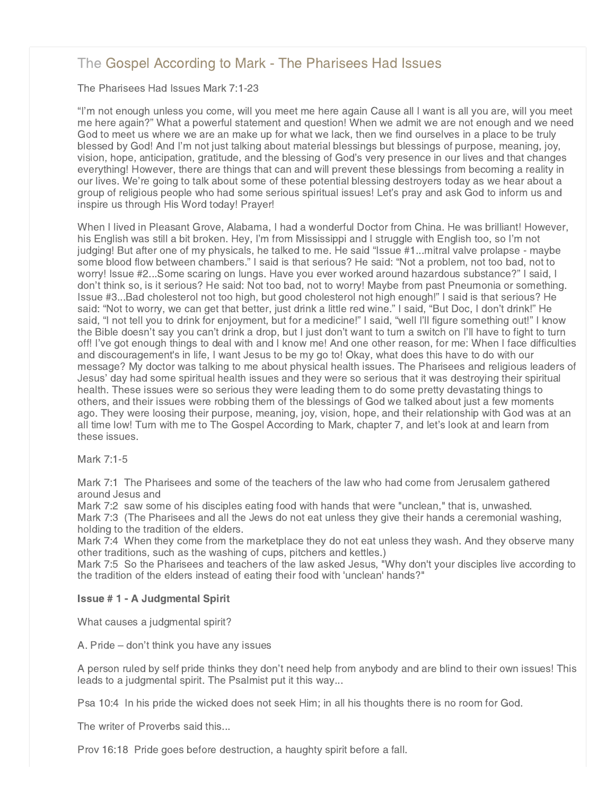# [The Gospel According to Mark - The Pharisees Had Issues](http://www.northshorechurch.net/resources/sermons/sermon-notes/433-the-gospel-according-to-mark-the-pharisees-had-issues)

The Pharisees Had Issues Mark 7:1-23

"I'm not enough unless you come, will you meet me here again Cause all I want is all you are, will you meet me here again?" What a powerful statement and question! When we admit we are not enough and we need God to meet us where we are an make up for what we lack, then we find ourselves in a place to be truly blessed by God! And I'm not just talking about material blessings but blessings of purpose, meaning, joy, vision, hope, anticipation, gratitude, and the blessing of God's very presence in our lives and that changes everything! However, there are things that can and will prevent these blessings from becoming a reality in our lives. We're going to talk about some of these potential blessing destroyers today as we hear about a group of religious people who had some serious spiritual issues! Let's pray and ask God to inform us and inspire us through His Word today! Prayer!

When I lived in Pleasant Grove, Alabama, I had a wonderful Doctor from China. He was brilliant! However, his English was still a bit broken. Hey, I'm from Mississippi and I struggle with English too, so I'm not judging! But after one of my physicals, he talked to me. He said "Issue #1...mitral valve prolapse - maybe some blood flow between chambers." I said is that serious? He said: "Not a problem, not too bad, not to worry! Issue #2...Some scaring on lungs. Have you ever worked around hazardous substance?" I said, I don't think so, is it serious? He said: Not too bad, not to worry! Maybe from past Pneumonia or something. Issue #3...Bad cholesterol not too high, but good cholesterol not high enough!" I said is that serious? He said: "Not to worry, we can get that better, just drink a little red wine." I said, "But Doc, I don't drink!" He said, "I not tell you to drink for enjoyment, but for a medicine!" I said, "well I'll figure something out!" I know the Bible doesn't say you can't drink a drop, but I just don't want to turn a switch on I'll have to fight to turn off! I've got enough things to deal with and I know me! And one other reason, for me: When I face difficulties and discouragement's in life, I want Jesus to be my go to! Okay, what does this have to do with our message? My doctor was talking to me about physical health issues. The Pharisees and religious leaders of Jesus' day had some spiritual health issues and they were so serious that it was destroying their spiritual health. These issues were so serious they were leading them to do some pretty devastating things to others, and their issues were robbing them of the blessings of God we talked about just a few moments ago. They were loosing their purpose, meaning, joy, vision, hope, and their relationship with God was at an all time low! Turn with me to The Gospel According to Mark, chapter 7, and let's look at and learn from these issues.

Mark 7:1-5

Mark 7:1 The Pharisees and some of the teachers of the law who had come from Jerusalem gathered around Jesus and

Mark 7:2 saw some of his disciples eating food with hands that were "unclean," that is, unwashed. Mark 7:3 (The Pharisees and all the Jews do not eat unless they give their hands a ceremonial washing, holding to the tradition of the elders.

Mark 7:4 When they come from the marketplace they do not eat unless they wash. And they observe many other traditions, such as the washing of cups, pitchers and kettles.)

Mark 7:5 So the Pharisees and teachers of the law asked Jesus, "Why don't your disciples live according to the tradition of the elders instead of eating their food with 'unclean' hands?"

## Issue # 1 - A Judgmental Spirit

What causes a judgmental spirit?

A. Pride – don't think you have any issues

A person ruled by self pride thinks they don't need help from anybody and are blind to their own issues! This leads to a judgmental spirit. The Psalmist put it this way...

Psa 10:4 In his pride the wicked does not seek Him; in all his thoughts there is no room for God.

The writer of Proverbs said this...

Prov 16:18 Pride goes before destruction, a haughty spirit before a fall.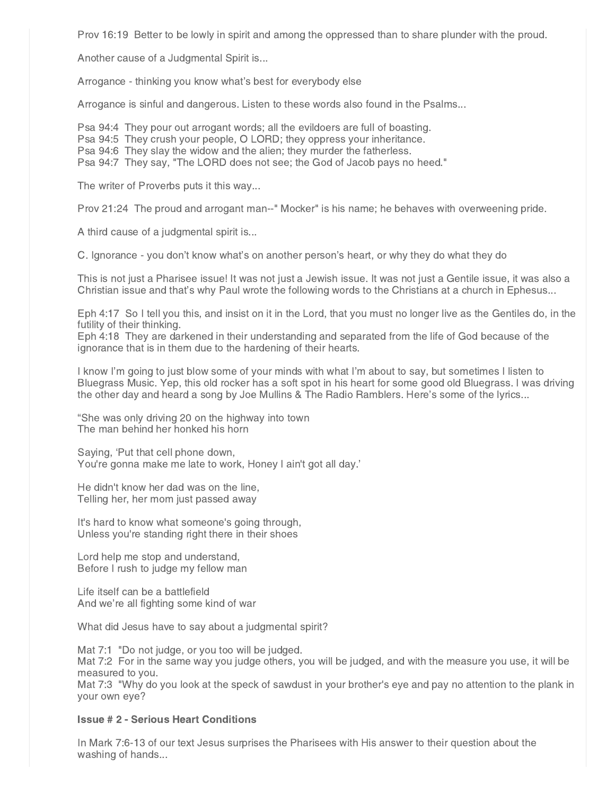Prov 16:19 Better to be lowly in spirit and among the oppressed than to share plunder with the proud.

Another cause of a Judgmental Spirit is...

Arrogance - thinking you know what's best for everybody else

Arrogance is sinful and dangerous. Listen to these words also found in the Psalms...

Psa 94:4 They pour out arrogant words; all the evildoers are full of boasting.

Psa 94:5 They crush your people, O LORD; they oppress your inheritance.

Psa 94:6 They slay the widow and the alien; they murder the fatherless.

Psa 94:7 They say, "The LORD does not see; the God of Jacob pays no heed."

The writer of Proverbs puts it this way...

Prov 21:24 The proud and arrogant man--" Mocker" is his name; he behaves with overweening pride.

A third cause of a judgmental spirit is...

C. Ignorance - you don't know what's on another person's heart, or why they do what they do

This is not just a Pharisee issue! It was not just a Jewish issue. It was not just a Gentile issue, it was also a Christian issue and that's why Paul wrote the following words to the Christians at a church in Ephesus...

Eph 4:17 So I tell you this, and insist on it in the Lord, that you must no longer live as the Gentiles do, in the futility of their thinking.

Eph 4:18 They are darkened in their understanding and separated from the life of God because of the ignorance that is in them due to the hardening of their hearts.

I know I'm going to just blow some of your minds with what I'm about to say, but sometimes I listen to Bluegrass Music. Yep, this old rocker has a soft spot in his heart for some good old Bluegrass. I was driving the other day and heard a song by Joe Mullins & The Radio Ramblers. Here's some of the lyrics...

"She was only driving 20 on the highway into town The man behind her honked his horn

Saying, 'Put that cell phone down, You're gonna make me late to work, Honey I ain't got all day.'

He didn't know her dad was on the line, Telling her, her mom just passed away

It's hard to know what someone's going through, Unless you're standing right there in their shoes

Lord help me stop and understand, Before I rush to judge my fellow man

Life itself can be a battlefield And we're all fighting some kind of war

What did Jesus have to say about a judgmental spirit?

Mat 7:1 "Do not judge, or you too will be judged. Mat 7:2 For in the same way you judge others, you will be judged, and with the measure you use, it will be measured to you.

Mat 7:3 "Why do you look at the speck of sawdust in your brother's eye and pay no attention to the plank in your own eye?

## Issue # 2 - Serious Heart Conditions

In Mark 7:6-13 of our text Jesus surprises the Pharisees with His answer to their question about the washing of hands...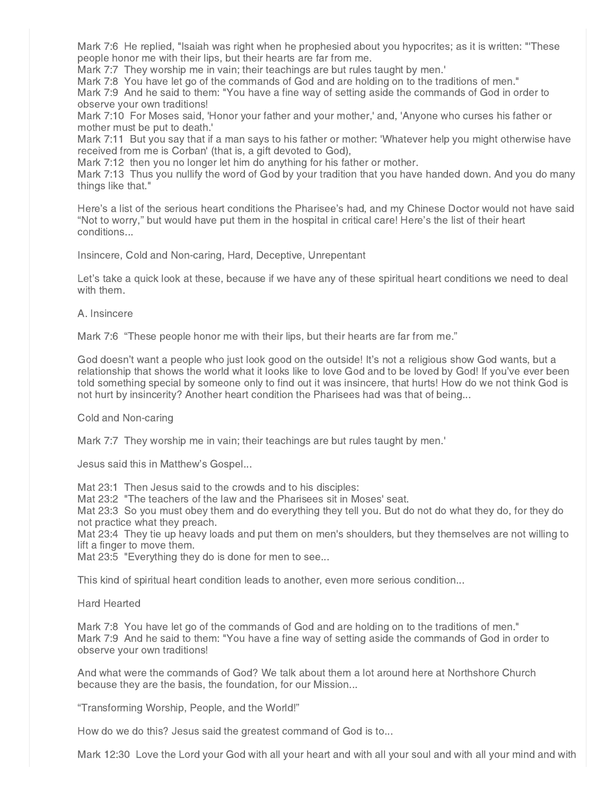Mark 7:6 He replied, "Isaiah was right when he prophesied about you hypocrites; as it is written: "'These people honor me with their lips, but their hearts are far from me.

Mark 7:7 They worship me in vain; their teachings are but rules taught by men.'

Mark 7:8 You have let go of the commands of God and are holding on to the traditions of men."

Mark 7:9 And he said to them: "You have a fine way of setting aside the commands of God in order to observe your own traditions!

Mark 7:10 For Moses said, 'Honor your father and your mother,' and, 'Anyone who curses his father or mother must be put to death.'

Mark 7:11 But you say that if a man says to his father or mother: 'Whatever help you might otherwise have received from me is Corban' (that is, a gift devoted to God),

Mark 7:12 then you no longer let him do anything for his father or mother.

Mark 7:13 Thus you nullify the word of God by your tradition that you have handed down. And you do many things like that."

Here's a list of the serious heart conditions the Pharisee's had, and my Chinese Doctor would not have said "Not to worry," but would have put them in the hospital in critical care! Here's the list of their heart conditions...

Insincere, Cold and Non-caring, Hard, Deceptive, Unrepentant

Let's take a quick look at these, because if we have any of these spiritual heart conditions we need to deal with them.

### A. Insincere

Mark 7:6 "These people honor me with their lips, but their hearts are far from me."

God doesn't want a people who just look good on the outside! It's not a religious show God wants, but a relationship that shows the world what it looks like to love God and to be loved by God! If you've ever been told something special by someone only to find out it was insincere, that hurts! How do we not think God is not hurt by insincerity? Another heart condition the Pharisees had was that of being...

Cold and Non-caring

Mark 7:7 They worship me in vain; their teachings are but rules taught by men.'

Jesus said this in Matthew's Gospel...

Mat 23:1 Then Jesus said to the crowds and to his disciples:

Mat 23:2 "The teachers of the law and the Pharisees sit in Moses' seat.

Mat 23:3 So you must obey them and do everything they tell you. But do not do what they do, for they do not practice what they preach.

Mat 23:4 They tie up heavy loads and put them on men's shoulders, but they themselves are not willing to lift a finger to move them.

Mat 23:5 "Everything they do is done for men to see...

This kind of spiritual heart condition leads to another, even more serious condition...

Hard Hearted

Mark 7:8 You have let go of the commands of God and are holding on to the traditions of men." Mark 7:9 And he said to them: "You have a fine way of setting aside the commands of God in order to observe your own traditions!

And what were the commands of God? We talk about them a lot around here at Northshore Church because they are the basis, the foundation, for our Mission...

"Transforming Worship, People, and the World!"

How do we do this? Jesus said the greatest command of God is to...

Mark 12:30 Love the Lord your God with all your heart and with all your soul and with all your mind and with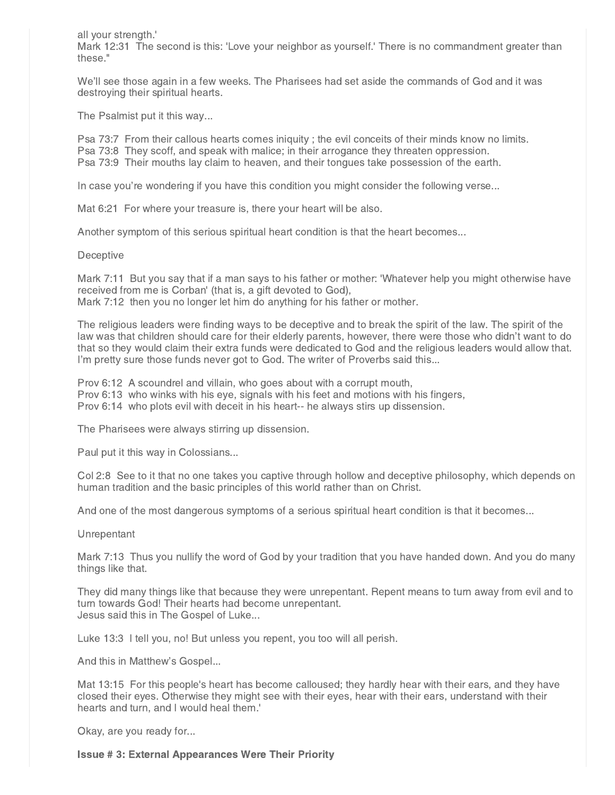all your strength.'

Mark 12:31 The second is this: 'Love your neighbor as yourself.' There is no commandment greater than these."

We'll see those again in a few weeks. The Pharisees had set aside the commands of God and it was destroying their spiritual hearts.

The Psalmist put it this way...

Psa 73:7 From their callous hearts comes iniquity ; the evil conceits of their minds know no limits. Psa 73:8 They scoff, and speak with malice; in their arrogance they threaten oppression. Psa 73:9 Their mouths lay claim to heaven, and their tongues take possession of the earth.

In case you're wondering if you have this condition you might consider the following verse...

Mat 6:21 For where your treasure is, there your heart will be also.

Another symptom of this serious spiritual heart condition is that the heart becomes...

#### **Deceptive**

Mark 7:11 But you say that if a man says to his father or mother: 'Whatever help you might otherwise have received from me is Corban' (that is, a gift devoted to God), Mark 7:12 then you no longer let him do anything for his father or mother.

The religious leaders were finding ways to be deceptive and to break the spirit of the law. The spirit of the law was that children should care for their elderly parents, however, there were those who didn't want to do that so they would claim their extra funds were dedicated to God and the religious leaders would allow that. I'm pretty sure those funds never got to God. The writer of Proverbs said this...

Prov 6:12 A scoundrel and villain, who goes about with a corrupt mouth, Prov 6:13 who winks with his eye, signals with his feet and motions with his fingers, Prov 6:14 who plots evil with deceit in his heart-- he always stirs up dissension.

The Pharisees were always stirring up dissension.

Paul put it this way in Colossians...

Col 2:8 See to it that no one takes you captive through hollow and deceptive philosophy, which depends on human tradition and the basic principles of this world rather than on Christ.

And one of the most dangerous symptoms of a serious spiritual heart condition is that it becomes...

**Unrepentant** 

Mark 7:13 Thus you nullify the word of God by your tradition that you have handed down. And you do many things like that.

They did many things like that because they were unrepentant. Repent means to turn away from evil and to turn towards God! Their hearts had become unrepentant. Jesus said this in The Gospel of Luke...

Luke 13:3 I tell you, no! But unless you repent, you too will all perish.

And this in Matthew's Gospel...

Mat 13:15 For this people's heart has become calloused; they hardly hear with their ears, and they have closed their eyes. Otherwise they might see with their eyes, hear with their ears, understand with their hearts and turn, and I would heal them.'

Okay, are you ready for...

Issue # 3: External Appearances Were Their Priority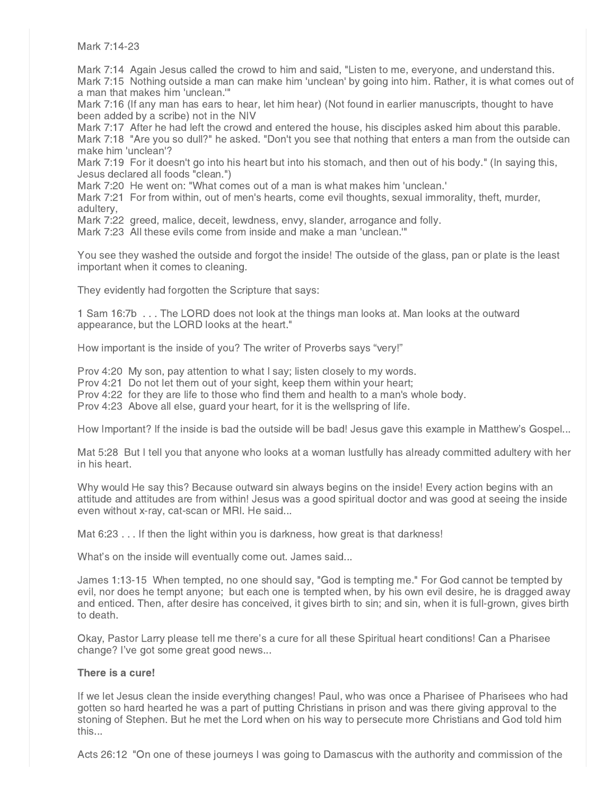Mark 7:14-23

Mark 7:14 Again Jesus called the crowd to him and said, "Listen to me, everyone, and understand this. Mark 7:15 Nothing outside a man can make him 'unclean' by going into him. Rather, it is what comes out of a man that makes him 'unclean.'"

Mark 7:16 (If any man has ears to hear, let him hear) (Not found in earlier manuscripts, thought to have been added by a scribe) not in the NIV

Mark 7:17 After he had left the crowd and entered the house, his disciples asked him about this parable. Mark 7:18 "Are you so dull?" he asked. "Don't you see that nothing that enters a man from the outside can make him 'unclean'?

Mark 7:19 For it doesn't go into his heart but into his stomach, and then out of his body." (In saying this, Jesus declared all foods "clean.")

Mark 7:20 He went on: "What comes out of a man is what makes him 'unclean.'

Mark 7:21 For from within, out of men's hearts, come evil thoughts, sexual immorality, theft, murder, adultery,

Mark 7:22 greed, malice, deceit, lewdness, envy, slander, arrogance and folly.

Mark 7:23 All these evils come from inside and make a man 'unclean.'"

You see they washed the outside and forgot the inside! The outside of the glass, pan or plate is the least important when it comes to cleaning.

They evidently had forgotten the Scripture that says:

1 Sam 16:7b . . . The LORD does not look at the things man looks at. Man looks at the outward appearance, but the LORD looks at the heart."

How important is the inside of you? The writer of Proverbs says "very!"

Prov 4:20 My son, pay attention to what I say; listen closely to my words.

Prov 4:21 Do not let them out of your sight, keep them within your heart;

Prov 4:22 for they are life to those who find them and health to a man's whole body.

Prov 4:23 Above all else, guard your heart, for it is the wellspring of life.

How Important? If the inside is bad the outside will be bad! Jesus gave this example in Matthew's Gospel...

Mat 5:28 But I tell you that anyone who looks at a woman lustfully has already committed adultery with her in his heart.

Why would He say this? Because outward sin always begins on the inside! Every action begins with an attitude and attitudes are from within! Jesus was a good spiritual doctor and was good at seeing the inside even without x-ray, cat-scan or MRI. He said...

Mat 6:23 . . . If then the light within you is darkness, how great is that darkness!

What's on the inside will eventually come out. James said...

James 1:13-15 When tempted, no one should say, "God is tempting me." For God cannot be tempted by evil, nor does he tempt anyone; but each one is tempted when, by his own evil desire, he is dragged away and enticed. Then, after desire has conceived, it gives birth to sin; and sin, when it is full-grown, gives birth to death.

Okay, Pastor Larry please tell me there's a cure for all these Spiritual heart conditions! Can a Pharisee change? I've got some great good news...

## There is a cure!

If we let Jesus clean the inside everything changes! Paul, who was once a Pharisee of Pharisees who had gotten so hard hearted he was a part of putting Christians in prison and was there giving approval to the stoning of Stephen. But he met the Lord when on his way to persecute more Christians and God told him this...

Acts 26:12 "On one of these journeys I was going to Damascus with the authority and commission of the